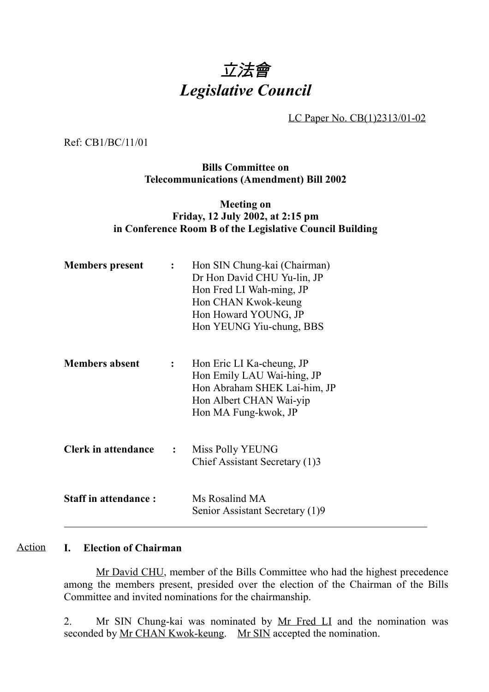# 立法會 *Legislative Council*

LC Paper No. CB(1)2313/01-02

Ref: CB1/BC/11/01

### **Bills Committee on Telecommunications (Amendment) Bill 2002**

### **Meeting on Friday, 12 July 2002, at 2:15 pm in Conference Room B of the Legislative Council Building**

| <b>Members present</b>      |                | Hon SIN Chung-kai (Chairman)<br>Dr Hon David CHU Yu-lin, JP<br>Hon Fred LI Wah-ming, JP<br>Hon CHAN Kwok-keung<br>Hon Howard YOUNG, JP<br>Hon YEUNG Yiu-chung, BBS |
|-----------------------------|----------------|--------------------------------------------------------------------------------------------------------------------------------------------------------------------|
| <b>Members absent</b>       | $\ddot{\cdot}$ | Hon Eric LI Ka-cheung, JP<br>Hon Emily LAU Wai-hing, JP<br>Hon Abraham SHEK Lai-him, JP<br>Hon Albert CHAN Wai-yip<br>Hon MA Fung-kwok, JP                         |
| <b>Clerk in attendance</b>  | $\mathbf{L}$   | Miss Polly YEUNG<br>Chief Assistant Secretary (1)3                                                                                                                 |
| <b>Staff in attendance:</b> |                | Ms Rosalind MA<br>Senior Assistant Secretary (1)9                                                                                                                  |

#### **I. Election of Chairman** Action

Mr David CHU, member of the Bills Committee who had the highest precedence among the members present, presided over the election of the Chairman of the Bills Committee and invited nominations for the chairmanship.

2. Mr SIN Chung-kai was nominated by Mr Fred LI and the nomination was seconded by <u>Mr CHAN Kwok-keung</u>. Mr SIN accepted the nomination.